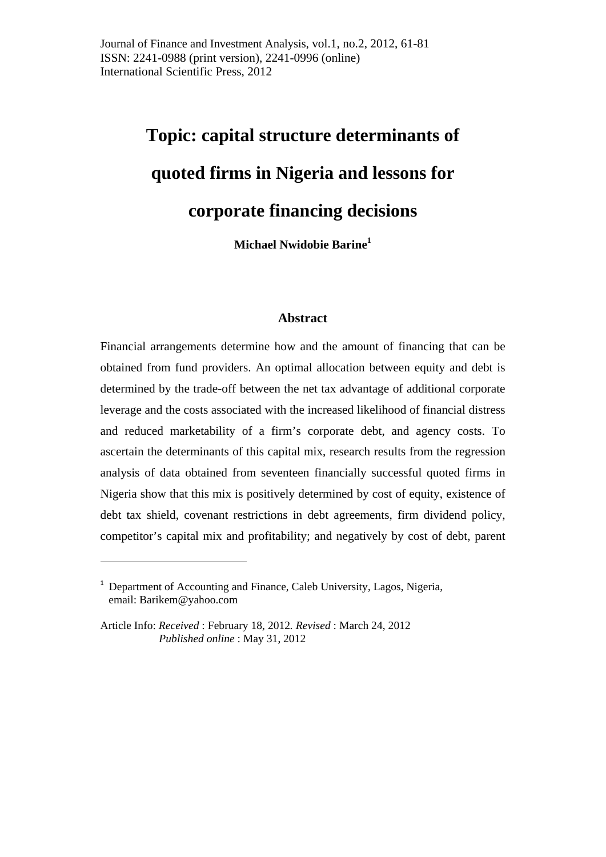# **Topic: capital structure determinants of quoted firms in Nigeria and lessons for corporate financing decisions**

**Michael Nwidobie Barine1**

# **Abstract**

Financial arrangements determine how and the amount of financing that can be obtained from fund providers. An optimal allocation between equity and debt is determined by the trade-off between the net tax advantage of additional corporate leverage and the costs associated with the increased likelihood of financial distress and reduced marketability of a firm's corporate debt, and agency costs. To ascertain the determinants of this capital mix, research results from the regression analysis of data obtained from seventeen financially successful quoted firms in Nigeria show that this mix is positively determined by cost of equity, existence of debt tax shield, covenant restrictions in debt agreements, firm dividend policy, competitor's capital mix and profitability; and negatively by cost of debt, parent

<sup>&</sup>lt;sup>1</sup> Department of Accounting and Finance, Caleb University, Lagos, Nigeria, email: Barikem@yahoo.com

Article Info: *Received* : February 18, 2012*. Revised* : March 24, 2012 *Published online* : May 31, 2012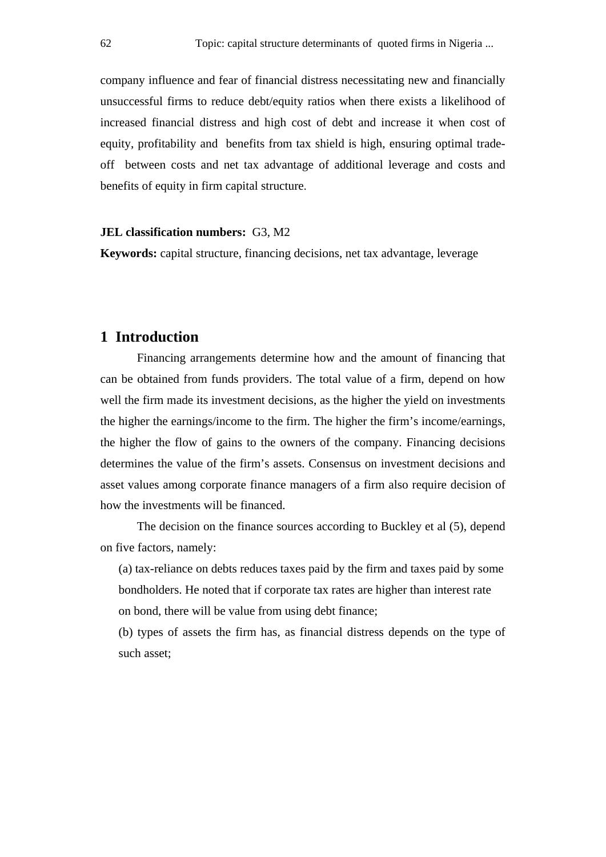company influence and fear of financial distress necessitating new and financially unsuccessful firms to reduce debt/equity ratios when there exists a likelihood of increased financial distress and high cost of debt and increase it when cost of equity, profitability and benefits from tax shield is high, ensuring optimal tradeoff between costs and net tax advantage of additional leverage and costs and benefits of equity in firm capital structure.

#### **JEL classification numbers:** G3, M2

**Keywords:** capital structure, financing decisions, net tax advantage, leverage

# **1 Introduction**

Financing arrangements determine how and the amount of financing that can be obtained from funds providers. The total value of a firm, depend on how well the firm made its investment decisions, as the higher the yield on investments the higher the earnings/income to the firm. The higher the firm's income/earnings, the higher the flow of gains to the owners of the company. Financing decisions determines the value of the firm's assets. Consensus on investment decisions and asset values among corporate finance managers of a firm also require decision of how the investments will be financed.

The decision on the finance sources according to Buckley et al (5), depend on five factors, namely:

 (a) tax-reliance on debts reduces taxes paid by the firm and taxes paid by some bondholders. He noted that if corporate tax rates are higher than interest rate on bond, there will be value from using debt finance;

(b) types of assets the firm has, as financial distress depends on the type of such asset;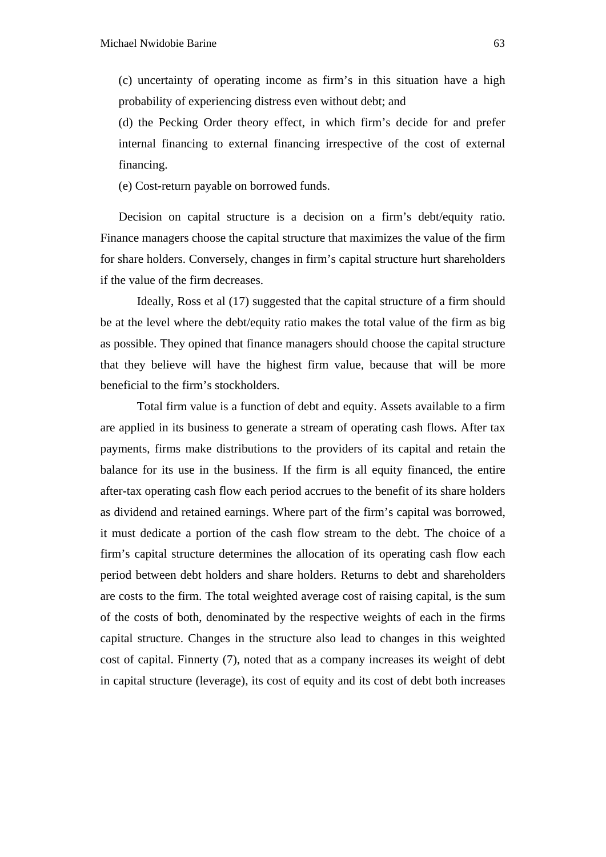(c) uncertainty of operating income as firm's in this situation have a high probability of experiencing distress even without debt; and

(d) the Pecking Order theory effect, in which firm's decide for and prefer internal financing to external financing irrespective of the cost of external financing.

(e) Cost-return payable on borrowed funds.

Decision on capital structure is a decision on a firm's debt/equity ratio. Finance managers choose the capital structure that maximizes the value of the firm for share holders. Conversely, changes in firm's capital structure hurt shareholders if the value of the firm decreases.

Ideally, Ross et al (17) suggested that the capital structure of a firm should be at the level where the debt/equity ratio makes the total value of the firm as big as possible. They opined that finance managers should choose the capital structure that they believe will have the highest firm value, because that will be more beneficial to the firm's stockholders.

Total firm value is a function of debt and equity. Assets available to a firm are applied in its business to generate a stream of operating cash flows. After tax payments, firms make distributions to the providers of its capital and retain the balance for its use in the business. If the firm is all equity financed, the entire after-tax operating cash flow each period accrues to the benefit of its share holders as dividend and retained earnings. Where part of the firm's capital was borrowed, it must dedicate a portion of the cash flow stream to the debt. The choice of a firm's capital structure determines the allocation of its operating cash flow each period between debt holders and share holders. Returns to debt and shareholders are costs to the firm. The total weighted average cost of raising capital, is the sum of the costs of both, denominated by the respective weights of each in the firms capital structure. Changes in the structure also lead to changes in this weighted cost of capital. Finnerty (7), noted that as a company increases its weight of debt in capital structure (leverage), its cost of equity and its cost of debt both increases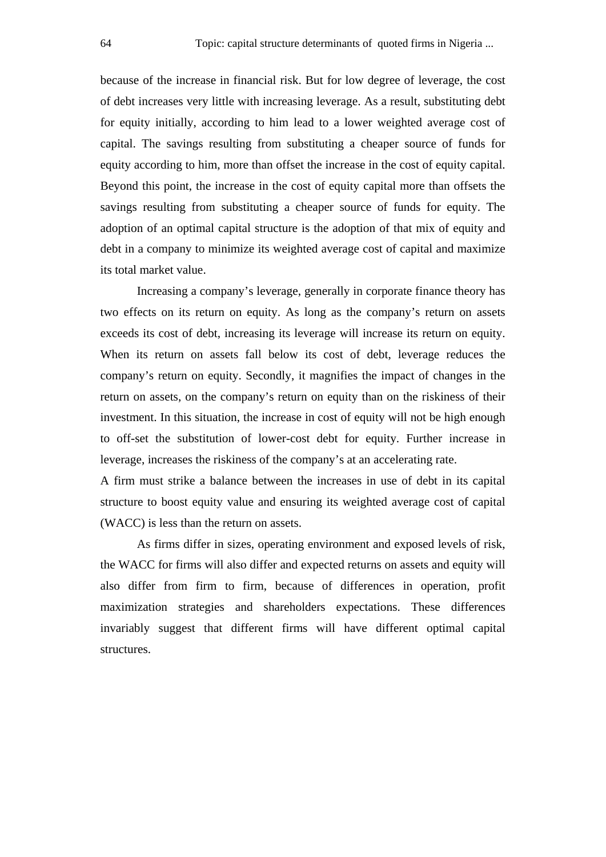because of the increase in financial risk. But for low degree of leverage, the cost of debt increases very little with increasing leverage. As a result, substituting debt for equity initially, according to him lead to a lower weighted average cost of capital. The savings resulting from substituting a cheaper source of funds for equity according to him, more than offset the increase in the cost of equity capital. Beyond this point, the increase in the cost of equity capital more than offsets the savings resulting from substituting a cheaper source of funds for equity. The adoption of an optimal capital structure is the adoption of that mix of equity and debt in a company to minimize its weighted average cost of capital and maximize its total market value.

Increasing a company's leverage, generally in corporate finance theory has two effects on its return on equity. As long as the company's return on assets exceeds its cost of debt, increasing its leverage will increase its return on equity. When its return on assets fall below its cost of debt, leverage reduces the company's return on equity. Secondly, it magnifies the impact of changes in the return on assets, on the company's return on equity than on the riskiness of their investment. In this situation, the increase in cost of equity will not be high enough to off-set the substitution of lower-cost debt for equity. Further increase in leverage, increases the riskiness of the company's at an accelerating rate.

A firm must strike a balance between the increases in use of debt in its capital structure to boost equity value and ensuring its weighted average cost of capital (WACC) is less than the return on assets.

As firms differ in sizes, operating environment and exposed levels of risk, the WACC for firms will also differ and expected returns on assets and equity will also differ from firm to firm, because of differences in operation, profit maximization strategies and shareholders expectations. These differences invariably suggest that different firms will have different optimal capital structures.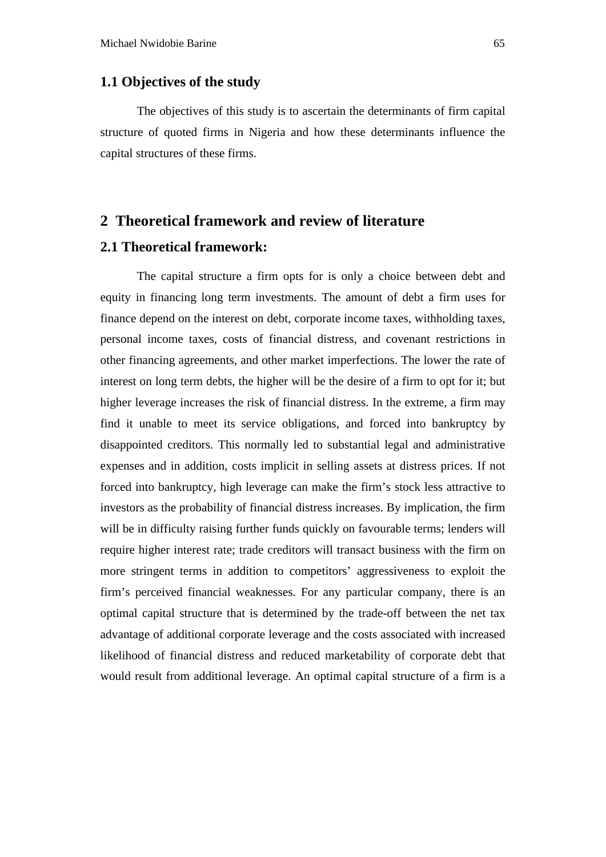#### **1.1 Objectives of the study**

The objectives of this study is to ascertain the determinants of firm capital structure of quoted firms in Nigeria and how these determinants influence the capital structures of these firms.

# **2 Theoretical framework and review of literature**

# **2.1 Theoretical framework:**

The capital structure a firm opts for is only a choice between debt and equity in financing long term investments. The amount of debt a firm uses for finance depend on the interest on debt, corporate income taxes, withholding taxes, personal income taxes, costs of financial distress, and covenant restrictions in other financing agreements, and other market imperfections. The lower the rate of interest on long term debts, the higher will be the desire of a firm to opt for it; but higher leverage increases the risk of financial distress. In the extreme, a firm may find it unable to meet its service obligations, and forced into bankruptcy by disappointed creditors. This normally led to substantial legal and administrative expenses and in addition, costs implicit in selling assets at distress prices. If not forced into bankruptcy, high leverage can make the firm's stock less attractive to investors as the probability of financial distress increases. By implication, the firm will be in difficulty raising further funds quickly on favourable terms; lenders will require higher interest rate; trade creditors will transact business with the firm on more stringent terms in addition to competitors' aggressiveness to exploit the firm's perceived financial weaknesses. For any particular company, there is an optimal capital structure that is determined by the trade-off between the net tax advantage of additional corporate leverage and the costs associated with increased likelihood of financial distress and reduced marketability of corporate debt that would result from additional leverage. An optimal capital structure of a firm is a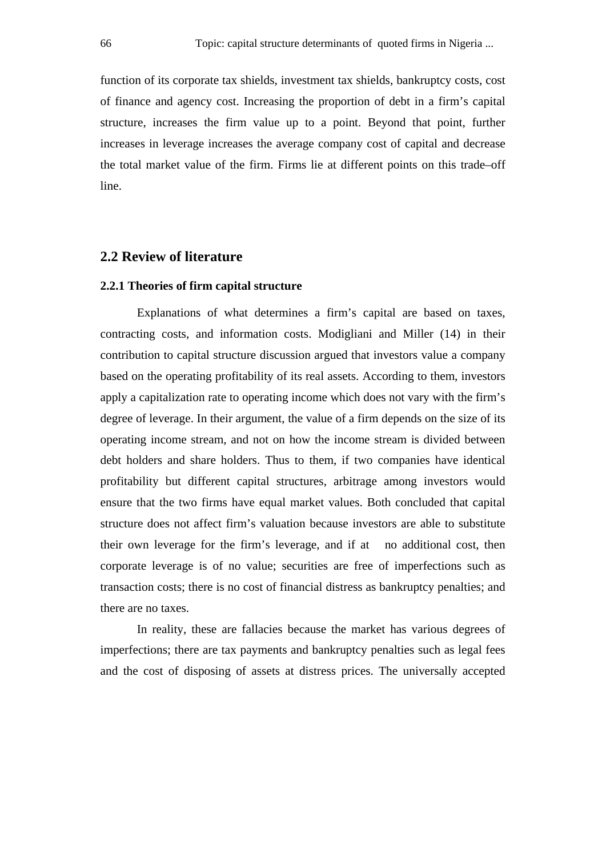function of its corporate tax shields, investment tax shields, bankruptcy costs, cost of finance and agency cost. Increasing the proportion of debt in a firm's capital structure, increases the firm value up to a point. Beyond that point, further increases in leverage increases the average company cost of capital and decrease the total market value of the firm. Firms lie at different points on this trade–off line.

## **2.2 Review of literature**

#### **2.2.1 Theories of firm capital structure**

Explanations of what determines a firm's capital are based on taxes, contracting costs, and information costs. Modigliani and Miller (14) in their contribution to capital structure discussion argued that investors value a company based on the operating profitability of its real assets. According to them, investors apply a capitalization rate to operating income which does not vary with the firm's degree of leverage. In their argument, the value of a firm depends on the size of its operating income stream, and not on how the income stream is divided between debt holders and share holders. Thus to them, if two companies have identical profitability but different capital structures, arbitrage among investors would ensure that the two firms have equal market values. Both concluded that capital structure does not affect firm's valuation because investors are able to substitute their own leverage for the firm's leverage, and if at no additional cost, then corporate leverage is of no value; securities are free of imperfections such as transaction costs; there is no cost of financial distress as bankruptcy penalties; and there are no taxes.

In reality, these are fallacies because the market has various degrees of imperfections; there are tax payments and bankruptcy penalties such as legal fees and the cost of disposing of assets at distress prices. The universally accepted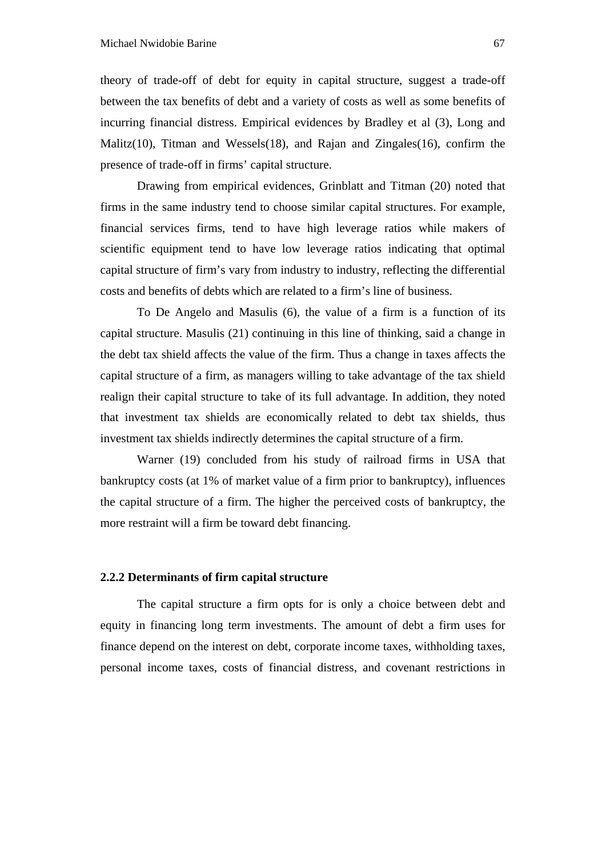theory of trade-off of debt for equity in capital structure, suggest a trade-off between the tax benefits of debt and a variety of costs as well as some benefits of incurring financial distress. Empirical evidences by Bradley et al (3), Long and Malitz(10), Titman and Wessels(18), and Rajan and Zingales(16), confirm the presence of trade-off in firms' capital structure.

Drawing from empirical evidences, Grinblatt and Titman (20) noted that firms in the same industry tend to choose similar capital structures. For example, financial services firms, tend to have high leverage ratios while makers of scientific equipment tend to have low leverage ratios indicating that optimal capital structure of firm's vary from industry to industry, reflecting the differential costs and benefits of debts which are related to a firm's line of business.

To De Angelo and Masulis (6), the value of a firm is a function of its capital structure. Masulis (21) continuing in this line of thinking, said a change in the debt tax shield affects the value of the firm. Thus a change in taxes affects the capital structure of a firm, as managers willing to take advantage of the tax shield realign their capital structure to take of its full advantage. In addition, they noted that investment tax shields are economically related to debt tax shields, thus investment tax shields indirectly determines the capital structure of a firm.

Warner (19) concluded from his study of railroad firms in USA that bankruptcy costs (at 1% of market value of a firm prior to bankruptcy), influences the capital structure of a firm. The higher the perceived costs of bankruptcy, the more restraint will a firm be toward debt financing.

#### **2.2.2 Determinants of firm capital structure**

The capital structure a firm opts for is only a choice between debt and equity in financing long term investments. The amount of debt a firm uses for finance depend on the interest on debt, corporate income taxes, withholding taxes, personal income taxes, costs of financial distress, and covenant restrictions in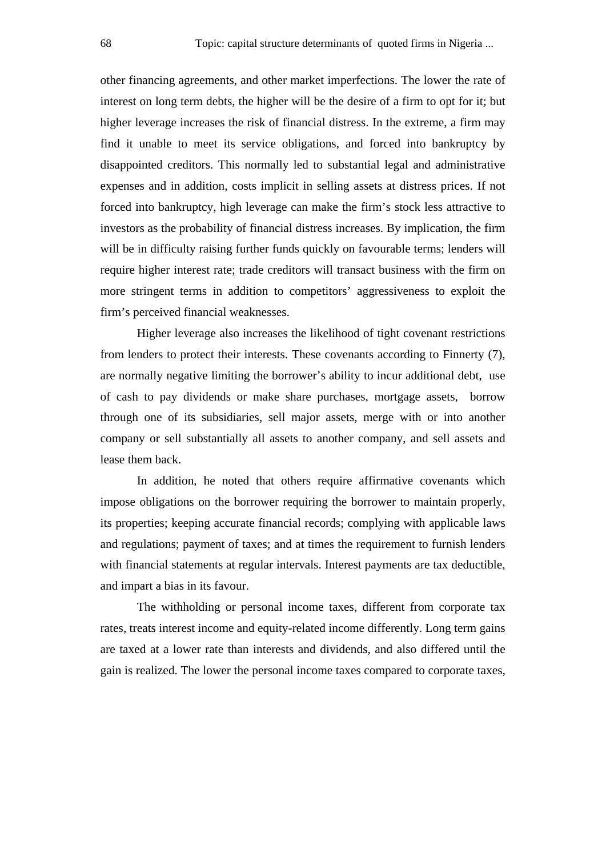other financing agreements, and other market imperfections. The lower the rate of interest on long term debts, the higher will be the desire of a firm to opt for it; but higher leverage increases the risk of financial distress. In the extreme, a firm may find it unable to meet its service obligations, and forced into bankruptcy by disappointed creditors. This normally led to substantial legal and administrative expenses and in addition, costs implicit in selling assets at distress prices. If not forced into bankruptcy, high leverage can make the firm's stock less attractive to investors as the probability of financial distress increases. By implication, the firm will be in difficulty raising further funds quickly on favourable terms; lenders will require higher interest rate; trade creditors will transact business with the firm on more stringent terms in addition to competitors' aggressiveness to exploit the firm's perceived financial weaknesses.

Higher leverage also increases the likelihood of tight covenant restrictions from lenders to protect their interests. These covenants according to Finnerty (7), are normally negative limiting the borrower's ability to incur additional debt, use of cash to pay dividends or make share purchases, mortgage assets, borrow through one of its subsidiaries, sell major assets, merge with or into another company or sell substantially all assets to another company, and sell assets and lease them back.

In addition, he noted that others require affirmative covenants which impose obligations on the borrower requiring the borrower to maintain properly, its properties; keeping accurate financial records; complying with applicable laws and regulations; payment of taxes; and at times the requirement to furnish lenders with financial statements at regular intervals. Interest payments are tax deductible, and impart a bias in its favour.

The withholding or personal income taxes, different from corporate tax rates, treats interest income and equity-related income differently. Long term gains are taxed at a lower rate than interests and dividends, and also differed until the gain is realized. The lower the personal income taxes compared to corporate taxes,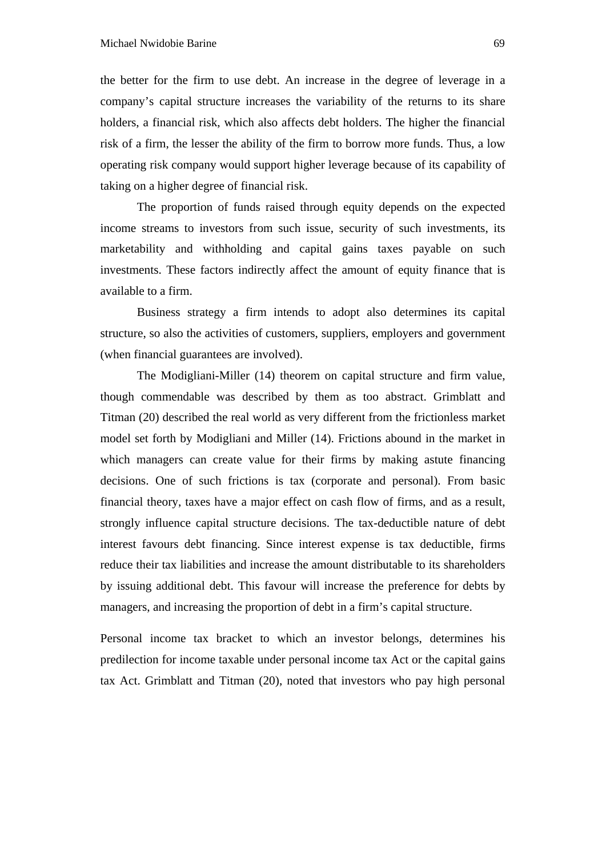the better for the firm to use debt. An increase in the degree of leverage in a company's capital structure increases the variability of the returns to its share holders, a financial risk, which also affects debt holders. The higher the financial risk of a firm, the lesser the ability of the firm to borrow more funds. Thus, a low operating risk company would support higher leverage because of its capability of taking on a higher degree of financial risk.

The proportion of funds raised through equity depends on the expected income streams to investors from such issue, security of such investments, its marketability and withholding and capital gains taxes payable on such investments. These factors indirectly affect the amount of equity finance that is available to a firm.

Business strategy a firm intends to adopt also determines its capital structure, so also the activities of customers, suppliers, employers and government (when financial guarantees are involved).

 The Modigliani-Miller (14) theorem on capital structure and firm value, though commendable was described by them as too abstract. Grimblatt and Titman (20) described the real world as very different from the frictionless market model set forth by Modigliani and Miller (14). Frictions abound in the market in which managers can create value for their firms by making astute financing decisions. One of such frictions is tax (corporate and personal). From basic financial theory, taxes have a major effect on cash flow of firms, and as a result, strongly influence capital structure decisions. The tax-deductible nature of debt interest favours debt financing. Since interest expense is tax deductible, firms reduce their tax liabilities and increase the amount distributable to its shareholders by issuing additional debt. This favour will increase the preference for debts by managers, and increasing the proportion of debt in a firm's capital structure.

Personal income tax bracket to which an investor belongs, determines his predilection for income taxable under personal income tax Act or the capital gains tax Act. Grimblatt and Titman (20), noted that investors who pay high personal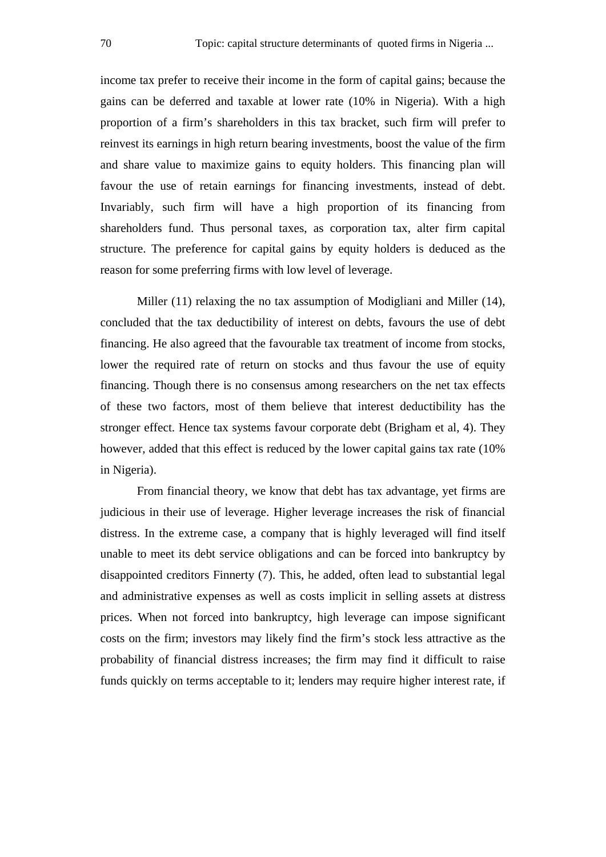income tax prefer to receive their income in the form of capital gains; because the gains can be deferred and taxable at lower rate (10% in Nigeria). With a high proportion of a firm's shareholders in this tax bracket, such firm will prefer to reinvest its earnings in high return bearing investments, boost the value of the firm and share value to maximize gains to equity holders. This financing plan will favour the use of retain earnings for financing investments, instead of debt. Invariably, such firm will have a high proportion of its financing from shareholders fund. Thus personal taxes, as corporation tax, alter firm capital structure. The preference for capital gains by equity holders is deduced as the reason for some preferring firms with low level of leverage.

Miller (11) relaxing the no tax assumption of Modigliani and Miller (14), concluded that the tax deductibility of interest on debts, favours the use of debt financing. He also agreed that the favourable tax treatment of income from stocks, lower the required rate of return on stocks and thus favour the use of equity financing. Though there is no consensus among researchers on the net tax effects of these two factors, most of them believe that interest deductibility has the stronger effect. Hence tax systems favour corporate debt (Brigham et al, 4). They however, added that this effect is reduced by the lower capital gains tax rate (10% in Nigeria).

From financial theory, we know that debt has tax advantage, yet firms are judicious in their use of leverage. Higher leverage increases the risk of financial distress. In the extreme case, a company that is highly leveraged will find itself unable to meet its debt service obligations and can be forced into bankruptcy by disappointed creditors Finnerty (7). This, he added, often lead to substantial legal and administrative expenses as well as costs implicit in selling assets at distress prices. When not forced into bankruptcy, high leverage can impose significant costs on the firm; investors may likely find the firm's stock less attractive as the probability of financial distress increases; the firm may find it difficult to raise funds quickly on terms acceptable to it; lenders may require higher interest rate, if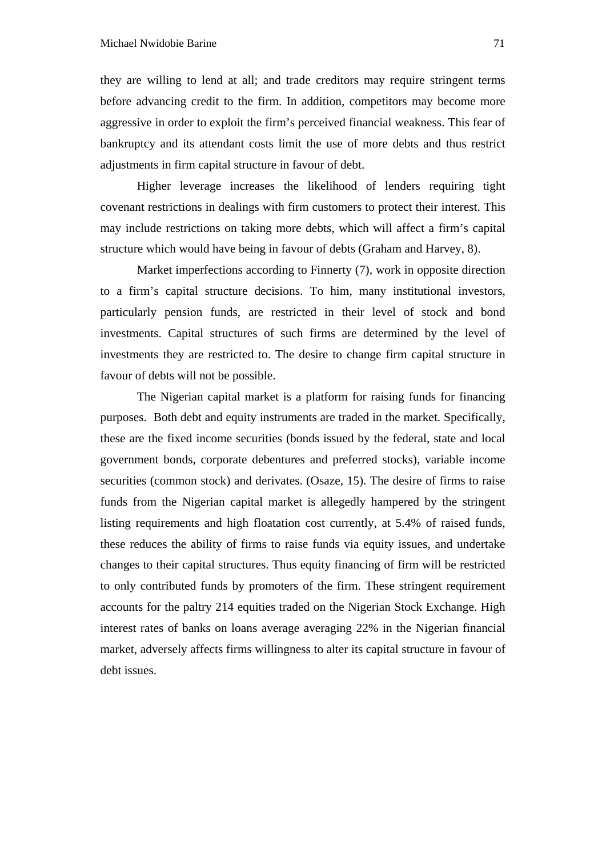they are willing to lend at all; and trade creditors may require stringent terms before advancing credit to the firm. In addition, competitors may become more aggressive in order to exploit the firm's perceived financial weakness. This fear of bankruptcy and its attendant costs limit the use of more debts and thus restrict adjustments in firm capital structure in favour of debt.

Higher leverage increases the likelihood of lenders requiring tight covenant restrictions in dealings with firm customers to protect their interest. This may include restrictions on taking more debts, which will affect a firm's capital structure which would have being in favour of debts (Graham and Harvey, 8).

Market imperfections according to Finnerty (7), work in opposite direction to a firm's capital structure decisions. To him, many institutional investors, particularly pension funds, are restricted in their level of stock and bond investments. Capital structures of such firms are determined by the level of investments they are restricted to. The desire to change firm capital structure in favour of debts will not be possible.

The Nigerian capital market is a platform for raising funds for financing purposes. Both debt and equity instruments are traded in the market. Specifically, these are the fixed income securities (bonds issued by the federal, state and local government bonds, corporate debentures and preferred stocks), variable income securities (common stock) and derivates. (Osaze, 15). The desire of firms to raise funds from the Nigerian capital market is allegedly hampered by the stringent listing requirements and high floatation cost currently, at 5.4% of raised funds, these reduces the ability of firms to raise funds via equity issues, and undertake changes to their capital structures. Thus equity financing of firm will be restricted to only contributed funds by promoters of the firm. These stringent requirement accounts for the paltry 214 equities traded on the Nigerian Stock Exchange. High interest rates of banks on loans average averaging 22% in the Nigerian financial market, adversely affects firms willingness to alter its capital structure in favour of debt issues.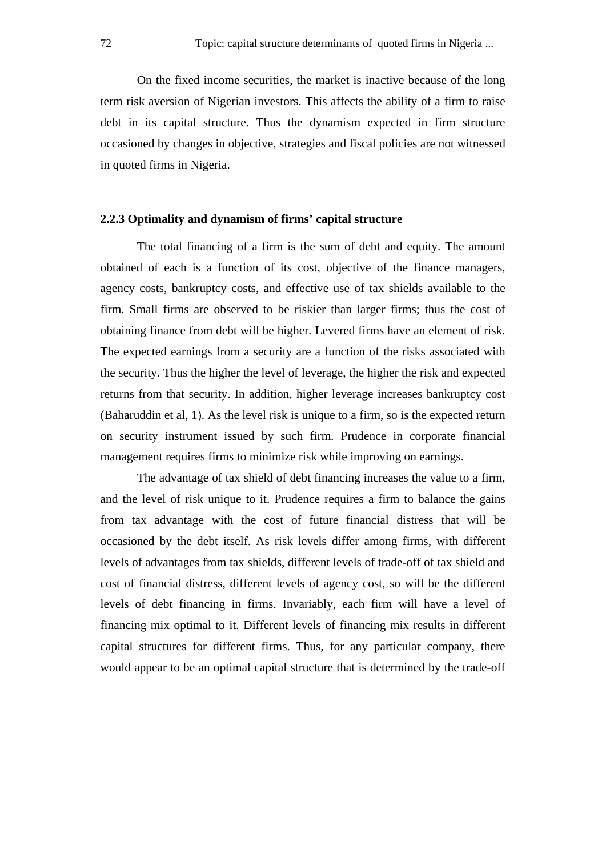On the fixed income securities, the market is inactive because of the long term risk aversion of Nigerian investors. This affects the ability of a firm to raise debt in its capital structure. Thus the dynamism expected in firm structure occasioned by changes in objective, strategies and fiscal policies are not witnessed in quoted firms in Nigeria.

#### **2.2.3 Optimality and dynamism of firms' capital structure**

The total financing of a firm is the sum of debt and equity. The amount obtained of each is a function of its cost, objective of the finance managers, agency costs, bankruptcy costs, and effective use of tax shields available to the firm. Small firms are observed to be riskier than larger firms; thus the cost of obtaining finance from debt will be higher. Levered firms have an element of risk. The expected earnings from a security are a function of the risks associated with the security. Thus the higher the level of leverage, the higher the risk and expected returns from that security. In addition, higher leverage increases bankruptcy cost (Baharuddin et al, 1). As the level risk is unique to a firm, so is the expected return on security instrument issued by such firm. Prudence in corporate financial management requires firms to minimize risk while improving on earnings.

The advantage of tax shield of debt financing increases the value to a firm, and the level of risk unique to it. Prudence requires a firm to balance the gains from tax advantage with the cost of future financial distress that will be occasioned by the debt itself. As risk levels differ among firms, with different levels of advantages from tax shields, different levels of trade-off of tax shield and cost of financial distress, different levels of agency cost, so will be the different levels of debt financing in firms. Invariably, each firm will have a level of financing mix optimal to it. Different levels of financing mix results in different capital structures for different firms. Thus, for any particular company, there would appear to be an optimal capital structure that is determined by the trade-off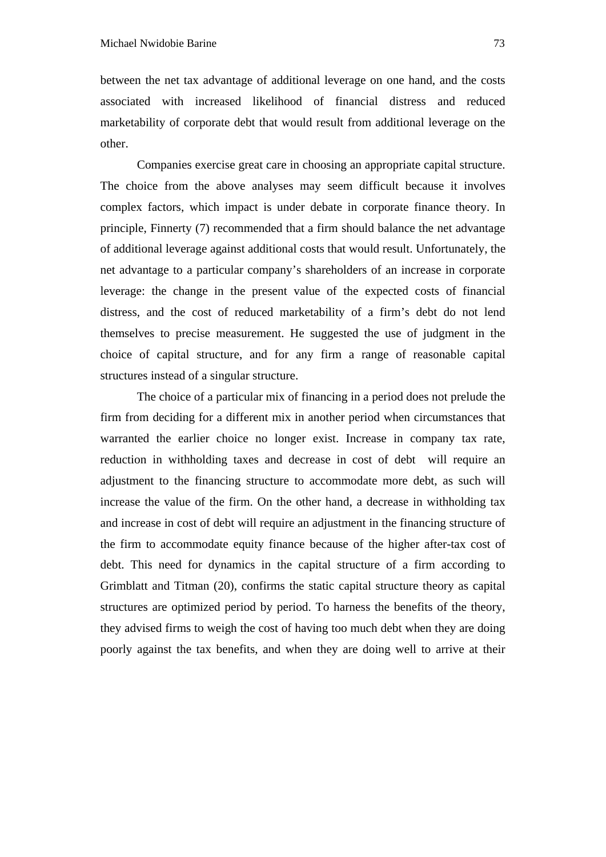between the net tax advantage of additional leverage on one hand, and the costs associated with increased likelihood of financial distress and reduced marketability of corporate debt that would result from additional leverage on the other.

Companies exercise great care in choosing an appropriate capital structure. The choice from the above analyses may seem difficult because it involves complex factors, which impact is under debate in corporate finance theory. In principle, Finnerty (7) recommended that a firm should balance the net advantage of additional leverage against additional costs that would result. Unfortunately, the net advantage to a particular company's shareholders of an increase in corporate leverage: the change in the present value of the expected costs of financial distress, and the cost of reduced marketability of a firm's debt do not lend themselves to precise measurement. He suggested the use of judgment in the choice of capital structure, and for any firm a range of reasonable capital structures instead of a singular structure.

The choice of a particular mix of financing in a period does not prelude the firm from deciding for a different mix in another period when circumstances that warranted the earlier choice no longer exist. Increase in company tax rate, reduction in withholding taxes and decrease in cost of debt will require an adjustment to the financing structure to accommodate more debt, as such will increase the value of the firm. On the other hand, a decrease in withholding tax and increase in cost of debt will require an adjustment in the financing structure of the firm to accommodate equity finance because of the higher after-tax cost of debt. This need for dynamics in the capital structure of a firm according to Grimblatt and Titman (20), confirms the static capital structure theory as capital structures are optimized period by period. To harness the benefits of the theory, they advised firms to weigh the cost of having too much debt when they are doing poorly against the tax benefits, and when they are doing well to arrive at their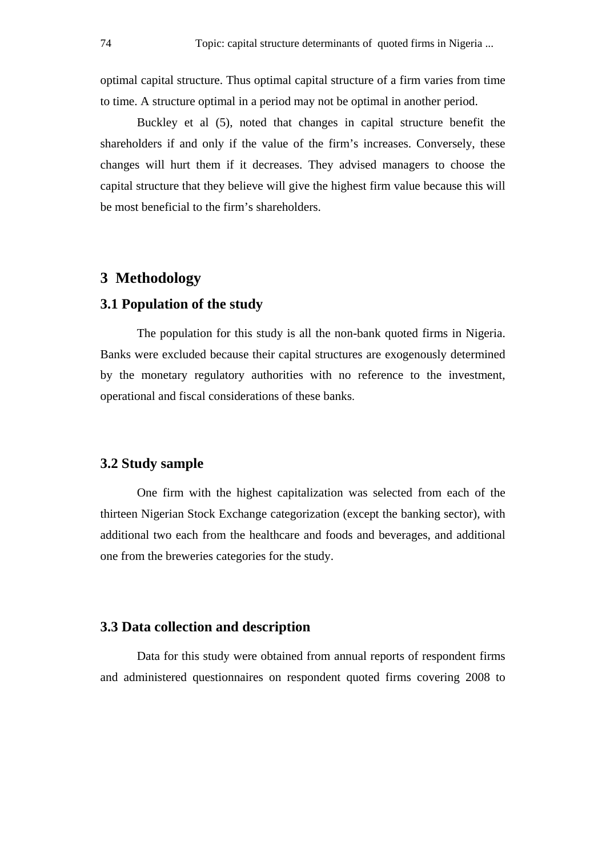optimal capital structure. Thus optimal capital structure of a firm varies from time to time. A structure optimal in a period may not be optimal in another period.

Buckley et al (5), noted that changes in capital structure benefit the shareholders if and only if the value of the firm's increases. Conversely, these changes will hurt them if it decreases. They advised managers to choose the capital structure that they believe will give the highest firm value because this will be most beneficial to the firm's shareholders.

# **3 Methodology**

#### **3.1 Population of the study**

The population for this study is all the non-bank quoted firms in Nigeria. Banks were excluded because their capital structures are exogenously determined by the monetary regulatory authorities with no reference to the investment, operational and fiscal considerations of these banks.

# **3.2 Study sample**

One firm with the highest capitalization was selected from each of the thirteen Nigerian Stock Exchange categorization (except the banking sector), with additional two each from the healthcare and foods and beverages, and additional one from the breweries categories for the study.

#### **3.3 Data collection and description**

Data for this study were obtained from annual reports of respondent firms and administered questionnaires on respondent quoted firms covering 2008 to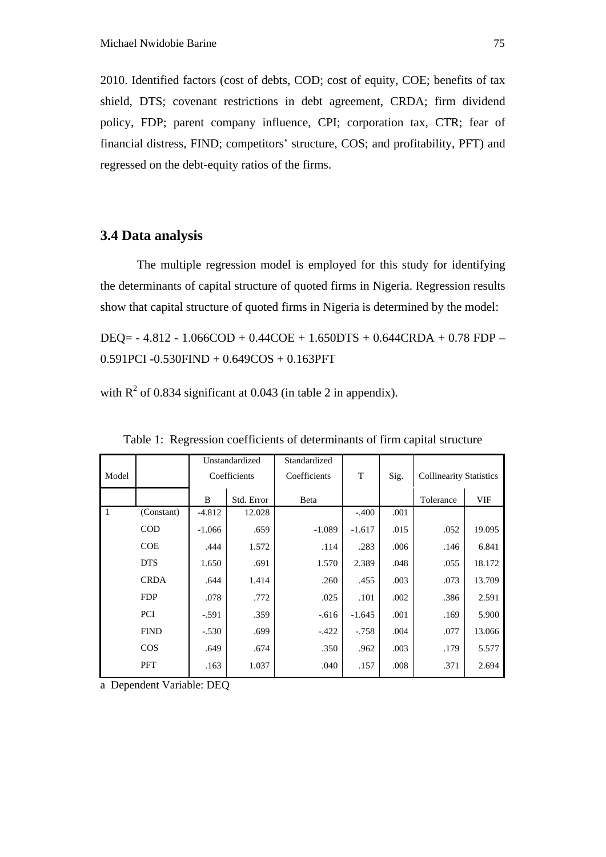2010. Identified factors (cost of debts, COD; cost of equity, COE; benefits of tax shield, DTS; covenant restrictions in debt agreement, CRDA; firm dividend policy, FDP; parent company influence, CPI; corporation tax, CTR; fear of financial distress, FIND; competitors' structure, COS; and profitability, PFT) and regressed on the debt-equity ratios of the firms.

#### **3.4 Data analysis**

The multiple regression model is employed for this study for identifying the determinants of capital structure of quoted firms in Nigeria. Regression results show that capital structure of quoted firms in Nigeria is determined by the model:

DEQ= - 4.812 - 1.066COD + 0.44COE + 1.650DTS + 0.644CRDA + 0.78 FDP – 0.591PCI -0.530FIND + 0.649COS + 0.163PFT

with  $R^2$  of 0.834 significant at 0.043 (in table 2 in appendix).

|              |             | Unstandardized |            | Standardized |          |      |                                |        |
|--------------|-------------|----------------|------------|--------------|----------|------|--------------------------------|--------|
| Model        |             | Coefficients   |            | Coefficients | T        | Sig. | <b>Collinearity Statistics</b> |        |
|              |             | B              | Std. Error | Beta         |          |      | Tolerance                      | VIF    |
| $\mathbf{1}$ | (Constant)  | $-4.812$       | 12.028     |              | $-.400$  | .001 |                                |        |
|              | <b>COD</b>  | $-1.066$       | .659       | $-1.089$     | $-1.617$ | .015 | .052                           | 19.095 |
|              | <b>COE</b>  | .444           | 1.572      | .114         | .283     | .006 | .146                           | 6.841  |
|              | <b>DTS</b>  | 1.650          | .691       | 1.570        | 2.389    | .048 | .055                           | 18.172 |
|              | <b>CRDA</b> | .644           | 1.414      | .260         | .455     | .003 | .073                           | 13.709 |
|              | <b>FDP</b>  | .078           | .772       | .025         | .101     | .002 | .386                           | 2.591  |
|              | <b>PCI</b>  | $-.591$        | .359       | $-.616$      | $-1.645$ | .001 | .169                           | 5.900  |
|              | <b>FIND</b> | $-.530$        | .699       | $-.422$      | $-.758$  | .004 | .077                           | 13.066 |
|              | $\cos$      | .649           | .674       | .350         | .962     | .003 | .179                           | 5.577  |
|              | PFT         | .163           | 1.037      | .040         | .157     | .008 | .371                           | 2.694  |

Table 1: Regression coefficients of determinants of firm capital structure

a Dependent Variable: DEQ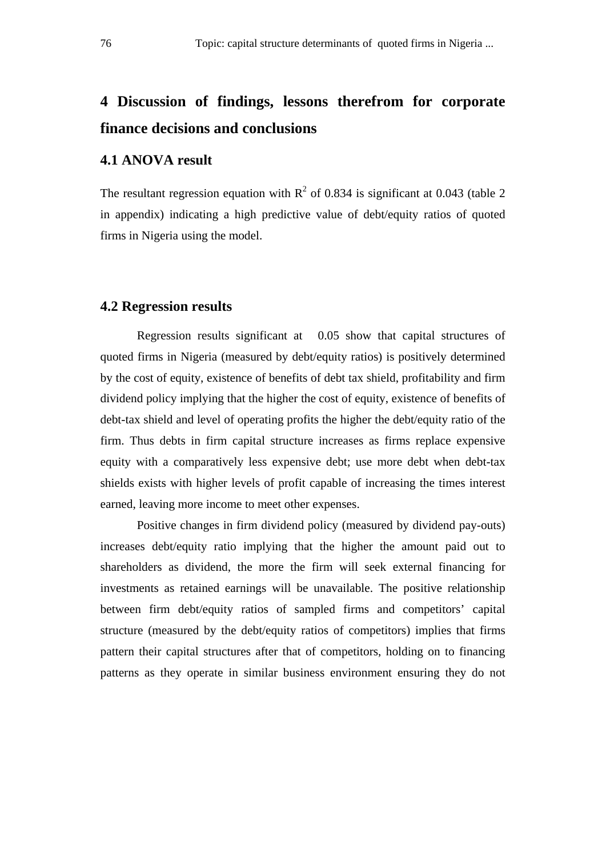# **4 Discussion of findings, lessons therefrom for corporate finance decisions and conclusions**

#### **4.1 ANOVA result**

The resultant regression equation with  $R^2$  of 0.834 is significant at 0.043 (table 2 in appendix) indicating a high predictive value of debt/equity ratios of quoted firms in Nigeria using the model.

## **4.2 Regression results**

Regression results significant at 0.05 show that capital structures of quoted firms in Nigeria (measured by debt/equity ratios) is positively determined by the cost of equity, existence of benefits of debt tax shield, profitability and firm dividend policy implying that the higher the cost of equity, existence of benefits of debt-tax shield and level of operating profits the higher the debt/equity ratio of the firm. Thus debts in firm capital structure increases as firms replace expensive equity with a comparatively less expensive debt; use more debt when debt-tax shields exists with higher levels of profit capable of increasing the times interest earned, leaving more income to meet other expenses.

Positive changes in firm dividend policy (measured by dividend pay-outs) increases debt/equity ratio implying that the higher the amount paid out to shareholders as dividend, the more the firm will seek external financing for investments as retained earnings will be unavailable. The positive relationship between firm debt/equity ratios of sampled firms and competitors' capital structure (measured by the debt/equity ratios of competitors) implies that firms pattern their capital structures after that of competitors, holding on to financing patterns as they operate in similar business environment ensuring they do not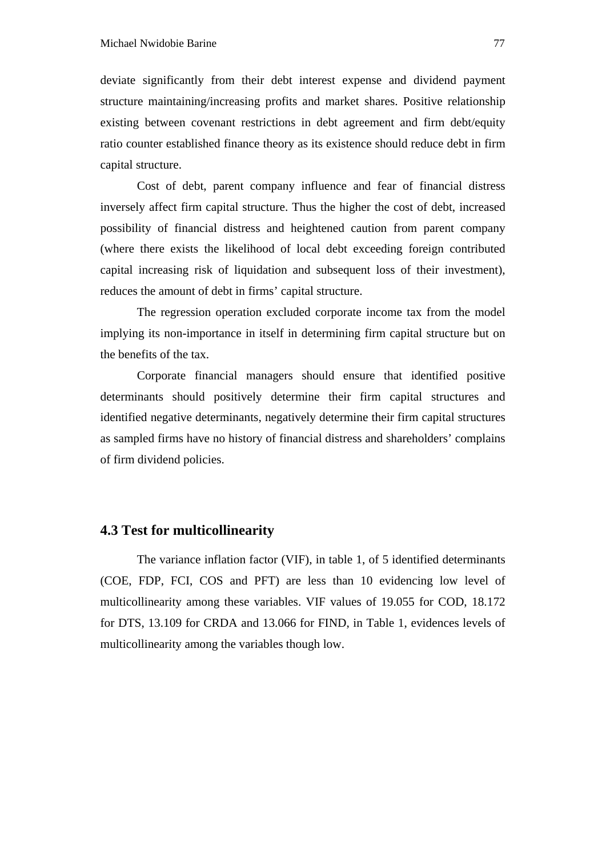deviate significantly from their debt interest expense and dividend payment structure maintaining/increasing profits and market shares. Positive relationship existing between covenant restrictions in debt agreement and firm debt/equity ratio counter established finance theory as its existence should reduce debt in firm capital structure.

Cost of debt, parent company influence and fear of financial distress inversely affect firm capital structure. Thus the higher the cost of debt, increased possibility of financial distress and heightened caution from parent company (where there exists the likelihood of local debt exceeding foreign contributed capital increasing risk of liquidation and subsequent loss of their investment), reduces the amount of debt in firms' capital structure.

The regression operation excluded corporate income tax from the model implying its non-importance in itself in determining firm capital structure but on the benefits of the tax.

Corporate financial managers should ensure that identified positive determinants should positively determine their firm capital structures and identified negative determinants, negatively determine their firm capital structures as sampled firms have no history of financial distress and shareholders' complains of firm dividend policies.

# **4.3 Test for multicollinearity**

The variance inflation factor (VIF), in table 1, of 5 identified determinants (COE, FDP, FCI, COS and PFT) are less than 10 evidencing low level of multicollinearity among these variables. VIF values of 19.055 for COD, 18.172 for DTS, 13.109 for CRDA and 13.066 for FIND, in Table 1, evidences levels of multicollinearity among the variables though low.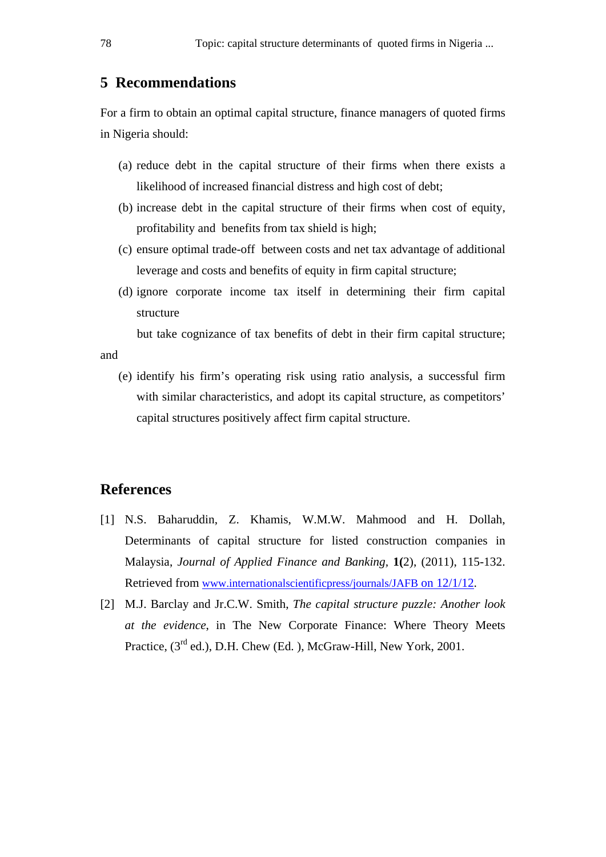# **5 Recommendations**

For a firm to obtain an optimal capital structure, finance managers of quoted firms in Nigeria should:

- (a) reduce debt in the capital structure of their firms when there exists a likelihood of increased financial distress and high cost of debt;
- (b) increase debt in the capital structure of their firms when cost of equity, profitability and benefits from tax shield is high;
- (c) ensure optimal trade-off between costs and net tax advantage of additional leverage and costs and benefits of equity in firm capital structure;
- (d) ignore corporate income tax itself in determining their firm capital structure

but take cognizance of tax benefits of debt in their firm capital structure;

(e) identify his firm's operating risk using ratio analysis, a successful firm with similar characteristics, and adopt its capital structure, as competitors' capital structures positively affect firm capital structure.

# **References**

and

- [1] N.S. Baharuddin, Z. Khamis, W.M.W. Mahmood and H. Dollah, Determinants of capital structure for listed construction companies in Malaysia, *Journal of Applied Finance and Banking,* **1(**2), (2011), 115-132. Retrieved from www.internationalscientificpress/journals/JAFB on 12/1/12.
- [2] M.J. Barclay and Jr.C.W. Smith, *The capital structure puzzle: Another look at the evidence*, in The New Corporate Finance: Where Theory Meets Practice, (3<sup>rd</sup> ed.), D.H. Chew (Ed.), McGraw-Hill, New York, 2001.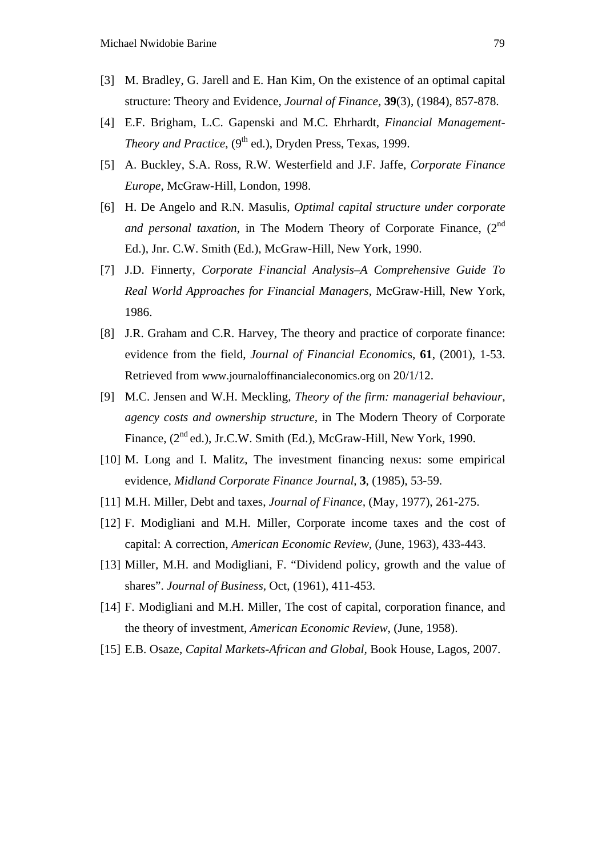- [3] M. Bradley, G. Jarell and E. Han Kim, On the existence of an optimal capital structure: Theory and Evidence, *Journal of Finance,* **39**(3), (1984), 857-878.
- [4] E.F. Brigham, L.C. Gapenski and M.C. Ehrhardt, *Financial Management-Theory and Practice*, (9<sup>th</sup> ed.), Dryden Press, Texas, 1999.
- [5] A. Buckley, S.A. Ross, R.W. Westerfield and J.F. Jaffe, *Corporate Finance Europe,* McGraw-Hill, London, 1998.
- [6] H. De Angelo and R.N. Masulis, *Optimal capital structure under corporate and personal taxation*, in The Modern Theory of Corporate Finance, (2<sup>nd</sup>) Ed.), Jnr. C.W. Smith (Ed.), McGraw-Hill, New York, 1990.
- [7] J.D. Finnerty, *Corporate Financial Analysis–A Comprehensive Guide To Real World Approaches for Financial Managers,* McGraw-Hill, New York, 1986.
- [8] J.R. Graham and C.R. Harvey, The theory and practice of corporate finance: evidence from the field, *Journal of Financial Economi*cs, **61**, (2001), 1-53. Retrieved from www.journaloffinancialeconomics.org on 20/1/12.
- [9] M.C. Jensen and W.H. Meckling, *Theory of the firm: managerial behaviour, agency costs and ownership structure*, in The Modern Theory of Corporate Finance, (2<sup>nd</sup> ed.), Jr.C.W. Smith (Ed.), McGraw-Hill, New York, 1990.
- [10] M. Long and I. Malitz, The investment financing nexus: some empirical evidence, *Midland Corporate Finance Journal*, **3**, (1985), 53-59.
- [11] M.H. Miller, Debt and taxes, *Journal of Finance,* (May, 1977), 261-275.
- [12] F. Modigliani and M.H. Miller, Corporate income taxes and the cost of capital: A correction, *American Economic Review*, (June, 1963), 433-443.
- [13] Miller, M.H. and Modigliani, F. "Dividend policy, growth and the value of shares". *Journal of Business,* Oct, (1961), 411-453.
- [14] F. Modigliani and M.H. Miller, The cost of capital, corporation finance, and the theory of investment, *American Economic Review*, (June, 1958).
- [15] E.B. Osaze, *Capital Markets-African and Global,* Book House, Lagos, 2007.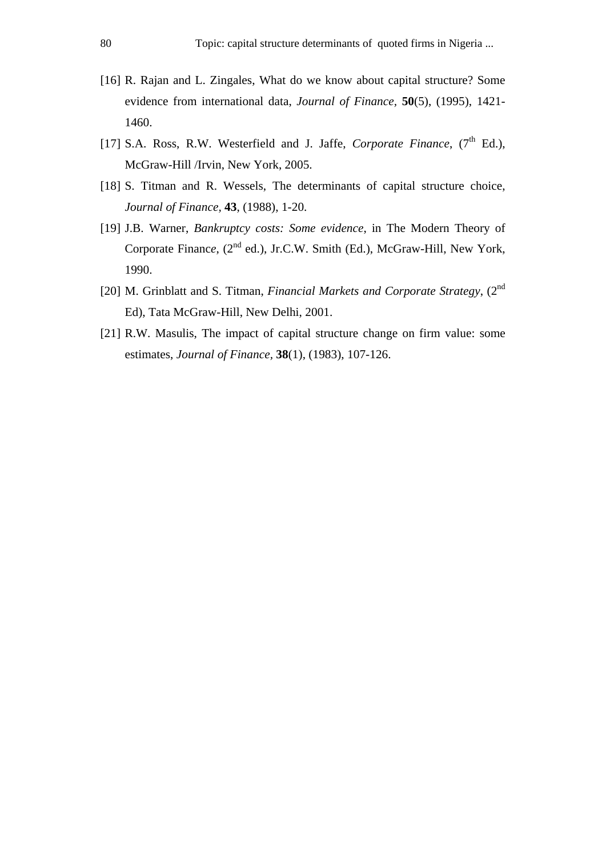- [16] R. Rajan and L. Zingales, What do we know about capital structure? Some evidence from international data, *Journal of Finance,* **50**(5), (1995), 1421- 1460.
- [17] S.A. Ross, R.W. Westerfield and J. Jaffe, *Corporate Finance*, (7<sup>th</sup> Ed.), McGraw-Hill /Irvin, New York, 2005.
- [18] S. Titman and R. Wessels, The determinants of capital structure choice, *Journal of Finance,* **43**, (1988), 1-20.
- [19] J.B. Warner, *Bankruptcy costs: Some evidence*, in The Modern Theory of Corporate Finance, (2<sup>nd</sup> ed.), Jr.C.W. Smith (Ed.), McGraw-Hill, New York, 1990.
- [20] M. Grinblatt and S. Titman, *Financial Markets and Corporate Strategy*, (2nd Ed), Tata McGraw-Hill, New Delhi, 2001.
- [21] R.W. Masulis, The impact of capital structure change on firm value: some estimates, *Journal of Finance,* **38**(1), (1983), 107-126.